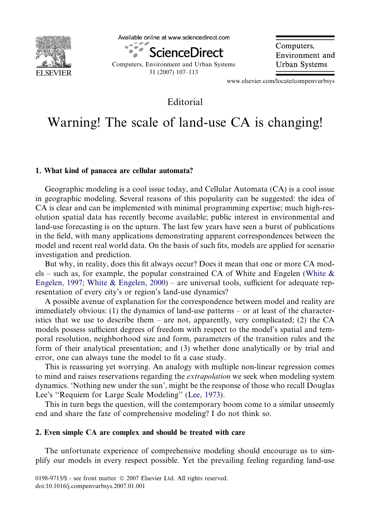

Available online at www.sciencedirect.com



Computers. Environment and **Urban Systems** 

Computers, Environment and Urban Systems 31 (2007) 107–113

www.elsevier.com/locate/compenvurbsys

Editorial

# Warning! The scale of land-use CA is changing!

### 1. What kind of panacea are cellular automata?

Geographic modeling is a cool issue today, and Cellular Automata (CA) is a cool issue in geographic modeling. Several reasons of this popularity can be suggested: the idea of CA is clear and can be implemented with minimal programming expertise; much high-resolution spatial data has recently become available; public interest in environmental and land-use forecasting is on the upturn. The last few years have seen a burst of publications in the field, with many applications demonstrating apparent correspondences between the model and recent real world data. On the basis of such fits, models are applied for scenario investigation and prediction.

But why, in reality, does this fit always occur? Does it mean that one or more CA models – such as, for example, the popular constrained CA of White and Engelen (White  $\&$ [Engelen, 1997; White & Engelen, 2000\)](#page-6-0) – are universal tools, sufficient for adequate representation of every city's or region's land-use dynamics?

A possible avenue of explanation for the correspondence between model and reality are immediately obvious: (1) the dynamics of land-use patterns – or at least of the characteristics that we use to describe them – are not, apparently, very complicated; (2) the  $CA$ models possess sufficient degrees of freedom with respect to the model's spatial and temporal resolution, neighborhood size and form, parameters of the transition rules and the form of their analytical presentation; and (3) whether done analytically or by trial and error, one can always tune the model to fit a case study.

This is reassuring yet worrying. An analogy with multiple non-linear regression comes to mind and raises reservations regarding the *extrapolation* we seek when modeling system dynamics. 'Nothing new under the sun', might be the response of those who recall Douglas Lee's ''Requiem for Large Scale Modeling'' [\(Lee, 1973\)](#page-6-0).

This in turn begs the question, will the contemporary boom come to a similar unseemly end and share the fate of comprehensive modeling? I do not think so.

### 2. Even simple CA are complex and should be treated with care

The unfortunate experience of comprehensive modeling should encourage us to simplify our models in every respect possible. Yet the prevailing feeling regarding land-use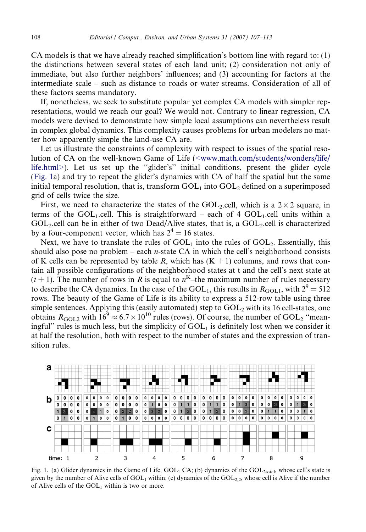<span id="page-1-0"></span>CA models is that we have already reached simplification's bottom line with regard to:  $(1)$ the distinctions between several states of each land unit; (2) consideration not only of immediate, but also further neighbors' influences; and (3) accounting for factors at the intermediate scale – such as distance to roads or water streams. Consideration of all of these factors seems mandatory.

If, nonetheless, we seek to substitute popular yet complex CA models with simpler representations, would we reach our goal? We would not. Contrary to linear regression, CA models were devised to demonstrate how simple local assumptions can nevertheless result in complex global dynamics. This complexity causes problems for urban modelers no matter how apparently simple the land-use CA are.

Let us illustrate the constraints of complexity with respect to issues of the spatial reso-lution of CA on the well-known Game of Life ([<www.math.com/students/wonders/life/](http://www.math.com/students/wonders/life/life.html) [life.html>\)](http://www.math.com/students/wonders/life/life.html). Let us set up the ''glider's'' initial conditions, present the glider cycle (Fig. 1a) and try to repeat the glider's dynamics with CA of half the spatial but the same initial temporal resolution, that is, transform  $GOL<sub>1</sub>$  into  $GOL<sub>2</sub>$  defined on a superimposed grid of cells twice the size.

First, we need to characterize the states of the GOL<sub>2</sub>.cell, which is a  $2 \times 2$  square, in terms of the GOL<sub>1</sub>.cell. This is straightforward – each of 4 GOL<sub>1</sub>.cell units within a  $GOL<sub>2</sub>$ cell can be in either of two Dead/Alive states, that is, a  $GOL<sub>2</sub>$ cell is characterized by a four-component vector, which has  $2^4 = 16$  states.

Next, we have to translate the rules of  $GOL<sub>1</sub>$  into the rules of  $GOL<sub>2</sub>$ . Essentially, this should also pose no problem – each *n*-state CA in which the cell's neighborhood consists of K cells can be represented by table R, which has  $(K + 1)$  columns, and rows that contain all possible configurations of the neighborhood states at t and the cell's next state at  $(t + 1)$ . The number of rows in R is equal to  $n<sup>K</sup>$ –the maximum number of rules necessary to describe the CA dynamics. In the case of the GOL<sub>1</sub>, this results in  $R_{\text{GOL1}}$ , with  $2^9 = 512$ rows. The beauty of the Game of Life is its ability to express a 512-row table using three simple sentences. Applying this (easily automated) step to  $GOL<sub>2</sub>$  with its 16 cell-states, one obtains  $R_{\text{GOL2}}$  with  $16^9 \approx 6.7 \times 10^{10}$  rules (rows). Of course, the number of  $\text{GOL}_2$  "meaningful" rules is much less, but the simplicity of  $GOL<sub>1</sub>$  is definitely lost when we consider it at half the resolution, both with respect to the number of states and the expression of transition rules.



Fig. 1. (a) Glider dynamics in the Game of Life,  $GOL_1 CA$ ; (b) dynamics of the  $GOL_{2\text{total}}$ , whose cell's state is given by the number of Alive cells of  $GOL_1$  within; (c) dynamics of the  $GOL_{2,2}$ , whose cell is Alive if the number of Alive cells of the  $GOL<sub>1</sub>$  within is two or more.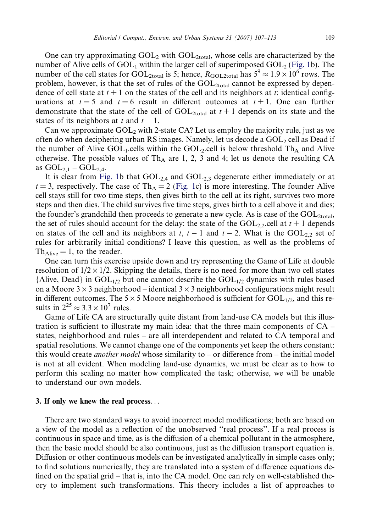One can try approximating  $GOL<sub>2</sub>$  with  $GOL<sub>2total</sub>$ , whose cells are characterized by the number of Alive cells of  $GOL_1$  within the larger cell of superimposed  $GOL_2$  ([Fig. 1](#page-1-0)b). The number of the cell states for GOL<sub>2total</sub> is 5; hence,  $R_{\text{GOL2total}}$  has  $5^9 \approx 1.9 \times 10^6$  rows. The problem, however, is that the set of rules of the  $GOL<sub>2total</sub>$  cannot be expressed by dependence of cell state at  $t + 1$  on the states of the cell and its neighbors at t: identical configurations at  $t = 5$  and  $t = 6$  result in different outcomes at  $t + 1$ . One can further demonstrate that the state of the cell of  $GOL<sub>2total</sub>$  at  $t + 1$  depends on its state and the states of its neighbors at t and  $t - 1$ .

Can we approximate  $GOL<sub>2</sub>$  with 2-state CA? Let us employ the majority rule, just as we often do when deciphering urban RS images. Namely, let us decode a  $GOL<sub>2</sub>$  cell as Dead if the number of Alive GOL<sub>1</sub>.cells within the GOL<sub>2</sub>.cell is below threshold  $Th_A$  and Alive otherwise. The possible values of  $Th_A$  are 1, 2, 3 and 4; let us denote the resulting CA as  $GOL_{2,1} - GOL_{2,4}$ .

It is clear from [Fig. 1b](#page-1-0) that  $GOL_{2,4}$  and  $GOL_{2,3}$  degenerate either immediately or at  $t = 3$ , respectively. The case of Th<sub>A</sub> = 2 ([Fig. 1](#page-1-0)c) is more interesting. The founder Alive cell stays still for two time steps, then gives birth to the cell at its right, survives two more steps and then dies. The child survives five time steps, gives birth to a cell above it and dies; the founder's grandchild then proceeds to generate a new cycle. As is case of the  $GOL<sub>2total</sub>$ , the set of rules should account for the delay: the state of the GOL<sub>2,2</sub>.cell at  $t + 1$  depends on states of the cell and its neighbors at t,  $t - 1$  and  $t - 2$ . What is the GOL<sub>2,2</sub> set of rules for arbitrarily initial conditions? I leave this question, as well as the problems of  $Th_{\text{Alice}} = 1$ , to the reader.

One can turn this exercise upside down and try representing the Game of Life at double resolution of  $1/2 \times 1/2$ . Skipping the details, there is no need for more than two cell states  ${ {\rm {A live, Dead}} }$  in  ${GOL}_{1/2}$  but one cannot describe the  ${GOL}_{1/2}$  dynamics with rules based on a Moore  $3 \times 3$  neighborhood – identical  $3 \times 3$  neighborhood configurations might result in different outcomes. The  $5 \times 5$  Moore neighborhood is sufficient for  $GOL_{1/2}$ , and this results in  $2^{25} \approx 3.3 \times 10^7$  rules.

Game of Life CA are structurally quite distant from land-use CA models but this illustration is sufficient to illustrate my main idea: that the three main components of  $CA$  – states, neighborhood and rules – are all interdependent and related to CA temporal and spatial resolutions. We cannot change one of the components yet keep the others constant: this would create *another model* whose similarity to  $-$  or difference from  $-$  the initial model is not at all evident. When modeling land-use dynamics, we must be clear as to how to perform this scaling no matter how complicated the task; otherwise, we will be unable to understand our own models.

#### 3. If only we knew the real process...

There are two standard ways to avoid incorrect model modifications; both are based on a view of the model as a reflection of the unobserved ''real process''. If a real process is continuous in space and time, as is the diffusion of a chemical pollutant in the atmosphere, then the basic model should be also continuous, just as the diffusion transport equation is. Diffusion or other continuous models can be investigated analytically in simple cases only; to find solutions numerically, they are translated into a system of difference equations defined on the spatial grid – that is, into the CA model. One can rely on well-established theory to implement such transformations. This theory includes a list of approaches to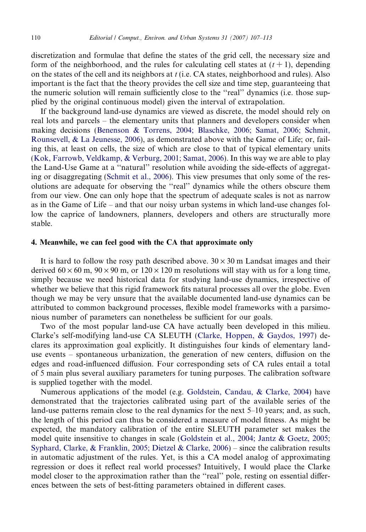discretization and formulae that define the states of the grid cell, the necessary size and form of the neighborhood, and the rules for calculating cell states at  $(t + 1)$ , depending on the states of the cell and its neighbors at  $t$  (i.e. CA states, neighborhood and rules). Also important is the fact that the theory provides the cell size and time step, guaranteeing that the numeric solution will remain sufficiently close to the ''real'' dynamics (i.e. those supplied by the original continuous model) given the interval of extrapolation.

If the background land-use dynamics are viewed as discrete, the model should rely on real lots and parcels – the elementary units that planners and developers consider when making decisions ([Benenson & Torrens, 2004; Blaschke, 2006; Samat, 2006; Schmit,](#page-5-0) [Rounsevell, & La Jeunesse, 2006](#page-5-0)), as demonstrated above with the Game of Life; or, failing this, at least on cells, the size of which are close to that of typical elementary units [\(Kok, Farrowb, Veldkamp, & Verburg, 2001; Samat, 2006](#page-5-0)). In this way we are able to play the Land-Use Game at a ''natural'' resolution while avoiding the side-effects of aggregating or disaggregating ([Schmit et al., 2006](#page-6-0)). This view presumes that only some of the resolutions are adequate for observing the ''real'' dynamics while the others obscure them from our view. One can only hope that the spectrum of adequate scales is not as narrow as in the Game of Life – and that our noisy urban systems in which land-use changes follow the caprice of landowners, planners, developers and others are structurally more stable.

## 4. Meanwhile, we can feel good with the CA that approximate only

It is hard to follow the rosy path described above.  $30 \times 30$  m Landsat images and their derived  $60 \times 60$  m,  $90 \times 90$  m, or  $120 \times 120$  m resolutions will stay with us for a long time, simply because we need historical data for studying land-use dynamics, irrespective of whether we believe that this rigid framework fits natural processes all over the globe. Even though we may be very unsure that the available documented land-use dynamics can be attributed to common background processes, flexible model frameworks with a parsimonious number of parameters can nonetheless be sufficient for our goals.

Two of the most popular land-use CA have actually been developed in this milieu. Clarke's self-modifying land-use CA SLEUTH ([Clarke, Hoppen, & Gaydos, 1997\)](#page-5-0) declares its approximation goal explicitly. It distinguishes four kinds of elementary landuse events – spontaneous urbanization, the generation of new centers, diffusion on the edges and road-influenced diffusion. Four corresponding sets of CA rules entail a total of 5 main plus several auxiliary parameters for tuning purposes. The calibration software is supplied together with the model.

Numerous applications of the model (e.g. [Goldstein, Candau, & Clarke, 2004](#page-5-0)) have demonstrated that the trajectories calibrated using part of the available series of the land-use patterns remain close to the real dynamics for the next 5–10 years; and, as such, the length of this period can thus be considered a measure of model fitness. As might be expected, the mandatory calibration of the entire SLEUTH parameter set makes the model quite insensitive to changes in scale ([Goldstein et al., 2004; Jantz & Goetz, 2005;](#page-5-0) [Syphard, Clarke, & Franklin, 2005; Dietzel & Clarke, 2006](#page-5-0)) – since the calibration results in automatic adjustment of the rules. Yet, is this a CA model analog of approximating regression or does it reflect real world processes? Intuitively, I would place the Clarke model closer to the approximation rather than the ''real'' pole, resting on essential differences between the sets of best-fitting parameters obtained in different cases.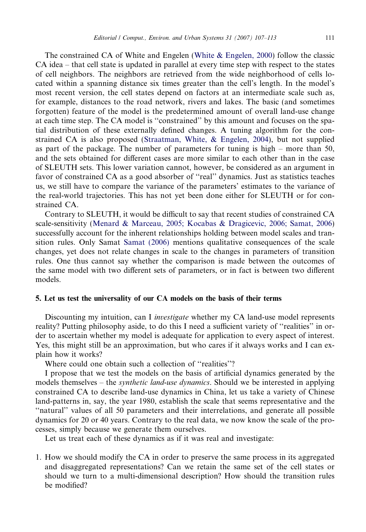The constrained CA of White and Engelen [\(White & Engelen, 2000](#page-6-0)) follow the classic CA idea – that cell state is updated in parallel at every time step with respect to the states of cell neighbors. The neighbors are retrieved from the wide neighborhood of cells located within a spanning distance six times greater than the cell's length. In the model's most recent version, the cell states depend on factors at an intermediate scale such as, for example, distances to the road network, rivers and lakes. The basic (and sometimes forgotten) feature of the model is the predetermined amount of overall land-use change at each time step. The CA model is ''constrained'' by this amount and focuses on the spatial distribution of these externally defined changes. A tuning algorithm for the constrained CA is also proposed [\(Straatman, White, & Engelen, 2004](#page-6-0)), but not supplied as part of the package. The number of parameters for tuning is high – more than 50, and the sets obtained for different cases are more similar to each other than in the case of SLEUTH sets. This lower variation cannot, however, be considered as an argument in favor of constrained CA as a good absorber of ''real'' dynamics. Just as statistics teaches us, we still have to compare the variance of the parameters' estimates to the variance of the real-world trajectories. This has not yet been done either for SLEUTH or for constrained CA.

Contrary to SLEUTH, it would be difficult to say that recent studies of constrained CA scale-sensitivity [\(Menard & Marceau, 2005; Kocabas & Dragicevic, 2006; Samat, 2006\)](#page-6-0) successfully account for the inherent relationships holding between model scales and transition rules. Only Samat [Samat \(2006\)](#page-6-0) mentions qualitative consequences of the scale changes, yet does not relate changes in scale to the changes in parameters of transition rules. One thus cannot say whether the comparison is made between the outcomes of the same model with two different sets of parameters, or in fact is between two different models.

## 5. Let us test the universality of our CA models on the basis of their terms

Discounting my intuition, can I *investigate* whether my CA land-use model represents reality? Putting philosophy aside, to do this I need a sufficient variety of ''realities'' in order to ascertain whether my model is adequate for application to every aspect of interest. Yes, this might still be an approximation, but who cares if it always works and I can explain how it works?

Where could one obtain such a collection of ''realities''?

I propose that we test the models on the basis of artificial dynamics generated by the models themselves – the *synthetic land-use dynamics*. Should we be interested in applying constrained CA to describe land-use dynamics in China, let us take a variety of Chinese land-patterns in, say, the year 1980, establish the scale that seems representative and the ''natural'' values of all 50 parameters and their interrelations, and generate all possible dynamics for 20 or 40 years. Contrary to the real data, we now know the scale of the processes, simply because we generate them ourselves.

Let us treat each of these dynamics as if it was real and investigate:

1. How we should modify the CA in order to preserve the same process in its aggregated and disaggregated representations? Can we retain the same set of the cell states or should we turn to a multi-dimensional description? How should the transition rules be modified?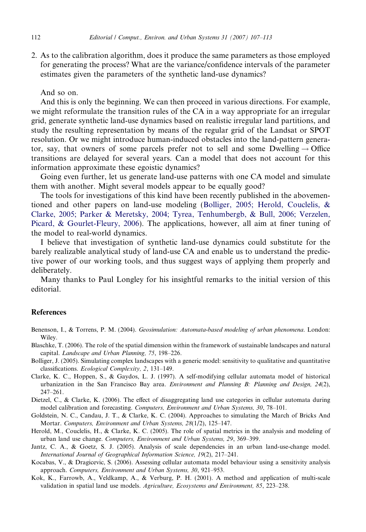<span id="page-5-0"></span>2. As to the calibration algorithm, does it produce the same parameters as those employed for generating the process? What are the variance/confidence intervals of the parameter estimates given the parameters of the synthetic land-use dynamics?

And so on.

And this is only the beginning. We can then proceed in various directions. For example, we might reformulate the transition rules of the CA in a way appropriate for an irregular grid, generate synthetic land-use dynamics based on realistic irregular land partitions, and study the resulting representation by means of the regular grid of the Landsat or SPOT resolution. Or we might introduce human-induced obstacles into the land-pattern generator, say, that owners of some parcels prefer not to sell and some Dwelling  $\rightarrow$  Office transitions are delayed for several years. Can a model that does not account for this information approximate these egoistic dynamics?

Going even further, let us generate land-use patterns with one CA model and simulate them with another. Might several models appear to be equally good?

The tools for investigations of this kind have been recently published in the abovementioned and other papers on land-use modeling (Bolliger, 2005; Herold, Couclelis, & Clarke, 2005; Parker & Meretsky, 2004; Tyrea, Tenhumbergb, & Bull, 2006; Verzelen, Picard, & Gourlet-Fleury, 2006). The applications, however, all aim at finer tuning of the model to real-world dynamics.

I believe that investigation of synthetic land-use dynamics could substitute for the barely realizable analytical study of land-use CA and enable us to understand the predictive power of our working tools, and thus suggest ways of applying them properly and deliberately.

Many thanks to Paul Longley for his insightful remarks to the initial version of this editorial.

#### **References**

- Benenson, I., & Torrens, P. M. (2004). Geosimulation: Automata-based modeling of urban phenomena. London: Wiley.
- Blaschke, T. (2006). The role of the spatial dimension within the framework of sustainable landscapes and natural capital. Landscape and Urban Planning, 75, 198–226.
- Bolliger, J. (2005). Simulating complex landscapes with a generic model: sensitivity to qualitative and quantitative classifications. Ecological Complexity, 2, 131–149.
- Clarke, K. C., Hoppen, S., & Gaydos, L. J. (1997). A self-modifying cellular automata model of historical urbanization in the San Francisco Bay area. *Environment and Planning B: Planning and Design*, 24(2), 247–261.
- Dietzel, C., & Clarke, K. (2006). The effect of disaggregating land use categories in cellular automata during model calibration and forecasting. Computers, Environment and Urban Systems, 30, 78–101.
- Goldstein, N. C., Candau, J. T., & Clarke, K. C. (2004). Approaches to simulating the March of Bricks And Mortar. Computers, Environment and Urban Systems, 28(1/2), 125–147.
- Herold, M., Couclelis, H., & Clarke, K. C. (2005). The role of spatial metrics in the analysis and modeling of urban land use change. Computers, Environment and Urban Systems, 29, 369–399.
- Jantz, C. A., & Goetz, S. J. (2005). Analysis of scale dependencies in an urban land-use-change model. International Journal of Geographical Information Science, 19(2), 217–241.
- Kocabas, V., & Dragicevic, S. (2006). Assessing cellular automata model behaviour using a sensitivity analysis approach. Computers, Environment and Urban Systems, 30, 921–953.
- Kok, K., Farrowb, A., Veldkamp, A., & Verburg, P. H. (2001). A method and application of multi-scale validation in spatial land use models. Agriculture, Ecosystems and Environment, 85, 223–238.